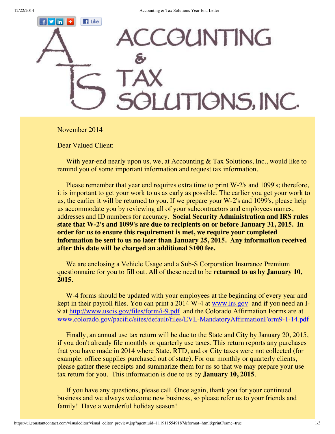

November 2014

Dear Valued Client:

With year-end nearly upon us, we, at Accounting & Tax Solutions, Inc., would like to remind you of some important information and request tax information.

Please remember that year end requires extra time to print W-2's and 1099's; therefore, it is important to get your work to us as early as possible. The earlier you get your work to us, the earlier it will be returned to you. If we prepare your W-2's and 1099's, please help us accommodate you by reviewing all of your subcontractors and employees names, addresses and ID numbers for accuracy. **Social Security Administration and IRS rules state that W-2's and 1099's are due to recipients on or before January 31, 2015. In order for us to ensure this requirement is met, we require your completed information be sent to us no later than January 25, 2015. Any information received after this date will be charged an additional \$100 fee.**

We are enclosing a Vehicle Usage and a Sub-S Corporation Insurance Premium questionnaire for you to fill out. All of these need to be **returned to us by January 10, 2015**.

W-4 forms should be updated with your employees at the beginning of every year and kept in their payroll files. You can print a 2014 W-4 at [www.irs.gov](http://r20.rs6.net/tn.jsp?e=001g-umT8XYwoM57HjiAa6llkwZOrxXLyXud3IC3AP_q_1oipo5uRrRyvsqXV7UTzBPujYU_Mi-9M1emNJa0i2cMoYO5G-b1soI) and if you need an I9 at [http://www.uscis.gov/files/form/i-9.pdf](http://r20.rs6.net/tn.jsp?e=001g-umT8XYwoM57HjiAa6llkwZOrxXLyXud3IC3AP_q_1oipo5uRrRyvsqXV7UTzBPujYU_Mi-9M2Kn7lILMI8Yja11VmYZuEYuYHutYeCkulIqf8sBy0fAbJB_jnrA4Sb4tTu10cDUyw=) and the Colorado Affirmation Forms are at [www.colorado.gov/pacific/sites/default/files/EVL-MandatoryAffirmationForm9-1-14.pdf](http://r20.rs6.net/tn.jsp?e=001g-umT8XYwoM57HjiAa6llkwZOrxXLyXud3IC3AP_q_1oipo5uRrRyvsqXV7UTzBPujYU_Mi-9M2A2gff2dTd803xyMZrxcz2kB17Xepnx5lM29qRWpe-sGMZD1ho96a2piThrgR5fRdanZ4C04yPJc7jVXI6LKRIF3R_UwBwCm9TpUt10YCDRFk1_z31UVEelIhmvNm87uo=)

Finally, an annual use tax return will be due to the State and City by January 20, 2015, if you don't already file monthly or quarterly use taxes. This return reports any purchases that you have made in 2014 where State, RTD, and or City taxes were not collected (for example: office supplies purchased out of state). For our monthly or quarterly clients, please gather these receipts and summarize them for us so that we may prepare your use tax return for you. This information is due to us by **January 10, 2015**.

If you have any questions, please call. Once again, thank you for your continued business and we always welcome new business, so please refer us to your friends and family! Have a wonderful holiday season!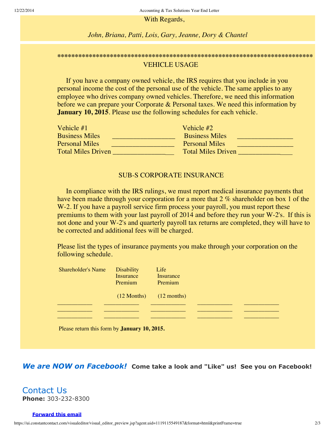With Regards,

*John, Briana, Patti, Lois, Gary, Jeanne, Dory & Chantel*

## **\*\*\*\*\*\*\*\*\*\*\*\*\*\*\*\*\*\*\*\*\*\*\*\*\*\*\*\*\*\*\*\*\*\*\*\*\*\*\*\*\*\*\*\*\*\*\*\*\*\*\*\*\*\*\*\*\*\*\*\*\*\*\*\*\*\*\*\*\*\*\*\*\*** VEHICLE USAGE

If you have a company owned vehicle, the IRS requires that you include in you personal income the cost of the personal use of the vehicle. The same applies to any employee who drives company owned vehicles. Therefore, we need this information before we can prepare your Corporate & Personal taxes. We need this information by **January 10, 2015**. Please use the following schedules for each vehicle.

| Vehicle $#1$              | Vehicle #2                |
|---------------------------|---------------------------|
| <b>Business Miles</b>     | <b>Business Miles</b>     |
| <b>Personal Miles</b>     | <b>Personal Miles</b>     |
| <b>Total Miles Driven</b> | <b>Total Miles Driven</b> |

## SUB-S CORPORATE INSURANCE

In compliance with the IRS rulings, we must report medical insurance payments that have been made through your corporation for a more that 2 % shareholder on box 1 of the W-2. If you have a payroll service firm process your payroll, you must report these premiums to them with your last payroll of 2014 and before they run your W-2's. If this is not done and your W-2's and quarterly payroll tax returns are completed, they will have to be corrected and additional fees will be charged.

Please list the types of insurance payments you make through your corporation on the following schedule.

| <b>Shareholder's Name</b> | <b>Disability</b>                           | Life      |  |
|---------------------------|---------------------------------------------|-----------|--|
|                           | Insurance                                   | Insurance |  |
|                           | Premium                                     | Premium   |  |
|                           |                                             |           |  |
|                           | $(12 \text{ months})$ $(12 \text{ months})$ |           |  |
|                           |                                             |           |  |
|                           |                                             |           |  |
|                           |                                             |           |  |

Please return this form by **January 10, 2015.**

*We are NOW on Facebook!* **Come take a look and "Like" us! See you on Facebook!**

Contact Us **Phone:** 303-232-8300

## **[Forward](http://ui.constantcontact.com/sa/fwtf.jsp?llr=a6v4u6cab&m=1102654199712&ea=dory@acctaxsolutions.net&a=1119115549187&id=preview) this email**